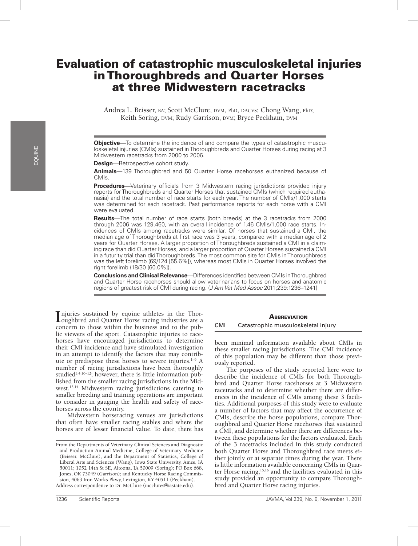# Evaluation of catastrophic musculoskeletal injuries in Thoroughbreds and Quarter Horses at three Midwestern racetracks

Andrea L. Beisser, BA; Scott McClure, DVM, PhD, DACVS; Chong Wang, PhD; Keith Soring, DVM; Rudy Garrison, DVM; Bryce Peckham, DVM

**Objective**—To determine the incidence of and compare the types of catastrophic musculoskeletal injuries (CMIs) sustained in Thoroughbreds and Quarter Horses during racing at 3 Midwestern racetracks from 2000 to 2006.

**Design**-Retrospective cohort study.

**Animals**—139 Thoroughbred and 50 Quarter Horse racehorses euthanized because of CMIs.

**Procedures**—Veterinary officials from 3 Midwestern racing jurisdictions provided injury reports for Thoroughbreds and Quarter Horses that sustained CMIs (which required euthanasia) and the total number of race starts for each year. The number of CMIs/1,000 starts was determined for each racetrack. Past performance reports for each horse with a CMI were evaluated.

**Results**—The total number of race starts (both breeds) at the 3 racetracks from 2000 through 2006 was 129,460, with an overall incidence of 1.46 CMIs/1,000 race starts. Incidences of CMIs among racetracks were similar. Of horses that sustained a CMI, the median age of Thoroughbreds at first race was 3 years, compared with a median age of 2 years for Quarter Horses. A larger proportion of Thoroughbreds sustained a CMI in a claiming race than did Quarter Horses, and a larger proportion of Quarter Horses sustained a CMI in a futurity trial than did Thoroughbreds. The most common site for CMIs in Thoroughbreds was the left forelimb (69/124 [55.6%]), whereas most CMIs in Quarter Horses involved the right forelimb (18/30 [60.0%]).

**Conclusions and Clinical Relevance**—Differences identified between CMIs in Thoroughbred and Quarter Horse racehorses should allow veterinarians to focus on horses and anatomic regions of greatest risk of CMI during racing. (*J Am Vet Med Assoc* 2011;239:1236–1241)

Injuries sustained by equine athletes in the Thor-<br> **I** coughbred and Quarter Horse racing industries are a oughbred and Quarter Horse racing industries are a concern to those within the business and to the public viewers of the sport. Catastrophic injuries to racehorses have encouraged jurisdictions to determine their CMI incidence and have stimulated investigation in an attempt to identify the factors that may contribute or predispose these horses to severe injuries.<sup>1-9</sup> A number of racing jurisdictions have been thoroughly studied<sup>3,4,10-12</sup>; however, there is little information published from the smaller racing jurisdictions in the Midwest.13,14 Midwestern racing jurisdictions catering to smaller breeding and training operations are important to consider in gauging the health and safety of racehorses across the country.

Midwestern horseracing venues are jurisdictions that often have smaller racing stables and where the horses are of lesser financial value. To date, there has

# **ABBREVIATION**

CMI Catastrophic musculoskeletal injury

been minimal information available about CMIs in these smaller racing jurisdictions. The CMI incidence of this population may be different than those previously reported.

The purposes of the study reported here were to describe the incidence of CMIs for both Thoroughbred and Quarter Horse racehorses at 3 Midwestern racetracks and to determine whether there are differences in the incidence of CMIs among these 3 facilities. Additional purposes of this study were to evaluate a number of factors that may affect the occurrence of CMIs, describe the horse populations, compare Thoroughbred and Quarter Horse racehorses that sustained a CMI, and determine whether there are differences between these populations for the factors evaluated. Each of the 3 racetracks included in this study conducted both Quarter Horse and Thoroughbred race meets either jointly or at separate times during the year. There is little information available concerning CMIs in Quarter Horse racing,<sup>15,16</sup> and the facilities evaluated in this study provided an opportunity to compare Thoroughbred and Quarter Horse racing injuries.

From the Departments of Veterinary Clinical Sciences and Diagnostic and Production Animal Medicine, College of Veterinary Medicine (Beisser, McClure), and the Department of Statistics, College of Liberal Arts and Sciences (Wang), Iowa State University, Ames, IA 50011; 1052 14th St SE, Altoona, IA 50009 (Soring); PO Box 668, Jones, OK 73049 (Garrison); and Kentucky Horse Racing Commission, 4063 Iron Works Pkwy, Lexington, KY 40511 (Peckham). Address correspondence to Dr. McClure (mcclures@iastate.edu).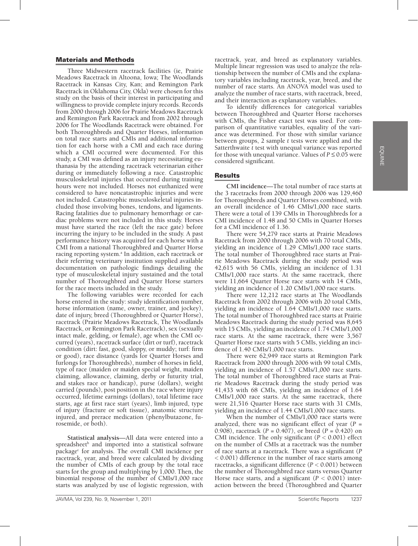### Materials and Methods

Three Midwestern racetrack facilities (ie, Prairie Meadows Racetrack in Altoona, Iowa; The Woodlands Racetrack in Kansas City, Kan; and Remington Park Racetrack in Oklahoma City, Okla) were chosen for this study on the basis of their interest in participating and willingness to provide complete injury records. Records from 2000 through 2006 for Prairie Meadows Racetrack and Remington Park Racetrack and from 2002 through 2006 for The Woodlands Racetrack were obtained. For both Thoroughbreds and Quarter Horses, information on total race starts and CMIs and additional information for each horse with a CMI and each race during which a CMI occurred were documented. For this study, a CMI was defined as an injury necessitating euthanasia by the attending racetrack veterinarian either during or immediately following a race. Catastrophic musculoskeletal injuries that occurred during training hours were not included. Horses not euthanized were considered to have noncatastrophic injuries and were not included. Catastrophic musculoskeletal injuries included those involving bones, tendons, and ligaments. Racing fatalities due to pulmonary hemorrhage or cardiac problems were not included in this study. Horses must have started the race (left the race gate) before incurring the injury to be included in the study. A past performance history was acquired for each horse with a CMI from a national Thoroughbred and Quarter Horse racing reporting system.<sup>a</sup> In addition, each racetrack or their referring veterinary institution supplied available documentation on pathologic findings detailing the type of musculoskeletal injury sustained and the total number of Thoroughbred and Quarter Horse starters for the race meets included in the study.

The following variables were recorded for each horse entered in the study: study identification number, horse information (name, owner, trainer, and jockey), date of injury, breed (Thoroughbred or Quarter Horse), racetrack (Prairie Meadows Racetrack, The Woodlands Racetrack, or Remington Park Racetrack), sex (sexually intact male, gelding, or female), age when the CMI occurred (years), racetrack surface (dirt or turf), racetrack condition (dirt: fast, good, sloppy, or muddy; turf: firm or good), race distance (yards for Quarter Horses and furlongs for Thoroughbreds), number of horses in field, type of race (maiden or maiden special weight, maiden claiming, allowance, claiming, derby or futurity trial, and stakes race or handicap), purse (dollars), weight carried (pounds), post position in the race where injury occurred, lifetime earnings (dollars), total lifetime race starts, age at first race start (years), limb injured, type of injury (fracture or soft tissue), anatomic structure injured, and prerace medication (phenylbutazone, furosemide, or both).

**Statistical analysis**—All data were entered into a spreadsheet<sup>b</sup> and imported into a statistical software package<sup>c</sup> for analysis. The overall CMI incidence per racetrack, year, and breed were calculated by dividing the number of CMIs of each group by the total race starts for the group and multiplying by 1,000. Then, the binomial response of the number of CMIs/1,000 race starts was analyzed by use of logistic regression, with

racetrack, year, and breed as explanatory variables. Multiple linear regression was used to analyze the relationship between the number of CMIs and the explanatory variables including racetrack, year, breed, and the number of race starts. An ANOVA model was used to analyze the number of race starts, with racetrack, breed, and their interaction as explanatory variables.

To identify differences for categorical variables between Thoroughbred and Quarter Horse racehorses with CMIs, the Fisher exact test was used. For comparison of quantitative variables, equality of the variance was determined. For those with similar variance between groups, 2 sample *t* tests were applied and the Satterthwaite *t* test with unequal variance was reported for those with unequal variance. Values of  $P \le 0.05$  were considered significant.

# Results

**CMI incidence**—The total number of race starts at the 3 racetracks from 2000 through 2006 was 129,460 for Thoroughbreds and Quarter Horses combined, with an overall incidence of 1.46 CMIs/1,000 race starts. There were a total of 139 CMIs in Thoroughbreds for a CMI incidence of 1.48 and 50 CMIs in Quarter Horses for a CMI incidence of 1.36.

There were 54,279 race starts at Prairie Meadows Racetrack from 2000 through 2006 with 70 total CMIs, yielding an incidence of 1.29 CMIs/1,000 race starts. The total number of Thoroughbred race starts at Prairie Meadows Racetrack during the study period was 42,615 with 56 CMIs, yielding an incidence of 1.31 CMIs/1,000 race starts. At the same racetrack, there were 11,664 Quarter Horse race starts with 14 CMIs, yielding an incidence of 1.20 CMIs/1,000 race starts.

There were 12,212 race starts at The Woodlands Racetrack from 2002 through 2006 with 20 total CMIs, yielding an incidence of 1.64 CMIs/1,000 race starts. The total number of Thoroughbred race starts at Prairie Meadows Racetrack during the study period was 8,645 with 15 CMIs, yielding an incidence of 1.74 CMIs/1,000 race starts. At the same racetrack, there were 3,567 Quarter Horse race starts with 5 CMIs, yielding an incidence of 1.40 CMIs/1,000 race starts.

There were 62,949 race starts at Remington Park Racetrack from 2000 through 2006 with 99 total CMIs, yielding an incidence of 1.57 CMIs/1,000 race starts. The total number of Thoroughbred race starts at Prairie Meadows Racetrack during the study period was 41,433 with 68 CMIs, yielding an incidence of 1.64 CMIs/1,000 race starts. At the same racetrack, there were 21,516 Quarter Horse race starts with 31 CMIs, yielding an incidence of 1.44 CMIs/1,000 race starts.

When the number of CMIs/1,000 race starts were analyzed, there was no significant effect of year (*P* = 0.908), racetrack (*P* = 0.407), or breed (*P* = 0.420) on CMI incidence. The only significant (*P* < 0.001) effect on the number of CMIs at a racetrack was the number of race starts at a racetrack. There was a significant (*P* < 0.001) difference in the number of race starts among racetracks, a significant difference (*P* < 0.001) between the number of Thoroughbred race starts versus Quarter Horse race starts, and a significant  $(P < 0.001)$  interaction between the breed (Thoroughbred and Quarter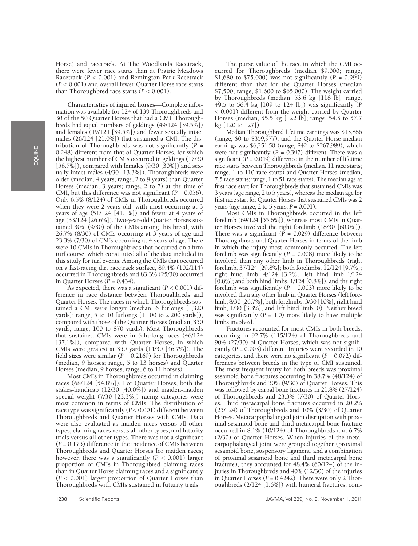EQUINE

Horse) and racetrack. At The Woodlands Racetrack, there were fewer race starts than at Prairie Meadows Racetrack (*P* < 0.001) and Remington Park Racetrack (*P <* 0.001) and overall fewer Quarter Horse race starts than Thoroughbred race starts  $(P < 0.001)$ .

**Characteristics of injured horses**—Complete information was available for 124 of 139 Thoroughbreds and 30 of the 50 Quarter Horses that had a CMI. Thoroughbreds had equal numbers of geldings (49/124 [39.5%]) and females (49/124 [39.5%]) and fewer sexually intact males (26/124 [21.0%]) that sustained a CMI. The distribution of Thoroughbreds was not significantly (*P* = 0.248) different from that of Quarter Horses, for which the highest number of CMIs occurred in geldings (17/30 [56.7%]), compared with females (9/30 [30%]) and sexually intact males (4/30 [13.3%]). Thoroughbreds were older (median, 4 years; range, 2 to 9 years) than Quarter Horses (median, 3 years; range, 2 to 7) at the time of CMI, but this difference was not significant  $(P = 0.056)$ . Only 6.5% (8/124) of CMIs in Thoroughbreds occurred when they were 2 years old, with most occurring at 3 years of age (51/124 [41.1%]) and fewer at 4 years of age (33/124 [26.6%]). Two-year-old Quarter Horses sustained 30% (9/30) of the CMIs among this breed, with 26.7% (8/30) of CMIs occurring at 3 years of age and 23.3% (7/30) of CMIs occurring at 4 years of age. There were 10 CMIs in Thoroughbreds that occurred on a firm turf course, which constituted all of the data included in this study for turf events. Among the CMIs that occurred on a fast-racing dirt racetrack surface, 89.4% (102/114) occurred in Thoroughbreds and 83.3% (25/30) occurred in Quarter Horses ( $\overline{P}$  = 0.434).

As expected, there was a significant  $(P < 0.001)$  difference in race distance between Thoroughbreds and Quarter Horses. The races in which Thoroughbreds sustained a CMI were longer (median, 6 furlongs [1,320 yards]; range, 5 to 10 furlongs [1,100 to 2,200 yards]), compared with those of the Quarter Horses (median, 350 yards; range, 100 to 870 yards). Most Thoroughbreds that sustained CMIs were in 6-furlong races (46/124 [37.1%]), compared with Quarter Horses, in which CMIs were greatest at 350 yards (14/30 [46.7%]). The field sizes were similar  $(P = 0.2169)$  for Thoroughbreds (median, 9 horses; range, 5 to 13 horses) and Quarter Horses (median, 9 horses; range, 6 to 11 horses).

Most CMIs in Thoroughbreds occurred in claiming races (68/124 [54.8%]). For Quarter Horses, both the stakes-handicap (12/30 [40.0%]) and maiden-maiden special weight (7/30 [23.3%]) racing categories were most common in terms of CMIs. The distribution of race type was significantly (*P* < 0.001) different between Thoroughbreds and Quarter Horses with CMIs. Data were also evaluated as maiden races versus all other types, claiming races versus all other types, and futurity trials versus all other types. There was not a significant (*P* = 0.175) difference in the incidence of CMIs between Thoroughbreds and Quarter Horses for maiden races; however, there was a significantly  $(P < 0.001)$  larger proportion of CMIs in Thoroughbred claiming races than in Quarter Horse claiming races and a significantly (*P* < 0.001) larger proportion of Quarter Horses than Thoroughbreds with CMIs sustained in futurity trials.

The purse value of the race in which the CMI occurred for Thoroughbreds (median \$9,000; range, \$1,680 to \$75,000) was not significantly  $(P = 0.999)$ different than that for the Quarter Horses (median \$7,500; range, \$1,600 to \$65,000). The weight carried by Thoroughbreds (median, 53.6 kg [118 lb]; range, 49.5 to 56.4 kg [109 to 124 lb]) was significantly (*P* < 0.001) different from the weight carried by Quarter Horses (median, 55.5 kg [122 lb]; range, 54.5 to 57.7 kg [120 to 127]).

Median Thoroughbred lifetime earnings was \$13,886 (range, \$0 to \$359,977), and the Quarter Horse median earnings was \$6,251.50 (range, \$42 to \$267,989), which were not significantly  $(P = 0.397)$  different. There was a significant  $(P = 0.049)$  difference in the number of lifetime race starts between Thoroughbreds (median, 11 race starts; range, 1 to 110 race starts) and Quarter Horses (median, 7.5 race starts; range, 1 to 51 race starts). The median age at first race start for Thoroughbreds that sustained CMIs was 3 years (age range, 2 to 5 years), whereas the median age for first race start for Quarter Horses that sustained CMIs was 2 years (age range, 2 to 5 years;  $P = 0.001$ ).

Most CMIs in Thoroughbreds occurred in the left forelimb (69/124 [55.6%]), whereas most CMIs in Quarter Horses involved the right forelimb (18/30 [60.0%]). There was a significant  $(\overline{P} = 0.029)$  difference between Thoroughbreds and Quarter Horses in terms of the limb in which the injury most commonly occurred. The left forelimb was significantly  $(P = 0.008)$  more likely to be involved than any other limb in Thoroughbreds (right forelimb, 37/124 [29.8%]; both forelimbs, 12/124 [9.7%]; right hind limb, 4/124 [3.2%], left hind limb 1/124 [0.8%]; and both hind limbs, 1/124 [0.8%]), and the right forelimb was significantly (*P* = 0.003) more likely to be involved than any other limb in Quarter Horses (left forelimb, 8/30 [26.7%]; both forelimbs, 3/30 [10%]; right hind limb, 1/30 [3.3%], and left hind limb, 0). Neither breed was significantly  $(P = 1.0)$  more likely to have multiple limbs involved.

Fractures accounted for most CMIs in both breeds, occurring in 92.7% (115/124) of Thoroughbreds and 90% (27/30) of Quarter Horses, which was not significantly  $(P = 0.703)$  different. Injuries were recorded in 10 categories, and there were no significant (*P* = 0.072) differences between breeds in the type of CMI sustained. The most frequent injury for both breeds was proximal sesamoid bone fractures occurring in 38.7% (48/124) of Thoroughbreds and 30% (9/30) of Quarter Horses. This was followed by carpal bone fractures in 21.8% (27/124) of Thoroughbreds and 23.3% (7/30) of Quarter Horses. Third metacarpal bone fractures occurred in 20.2% (25/124) of Thoroughbreds and 10% (3/30) of Quarter Horses. Metacarpophalangeal joint disruption with proximal sesamoid bone and third metacarpal bone fracture occurred in 8.1% (10/124) of Thoroughbreds and 6.7% (2/30) of Quarter Horses. When injuries of the metacarpophalangeal joint were grouped together (proximal sesamoid bone, suspensory ligament, and a combination of proximal sesamoid bone and third metacarpal bone fracture), they accounted for 48.4% (60/124) of the injuries in Thoroughbreds and 40% (12/30) of the injuries in Quarter Horses (*P* = 0.4242). There were only 2 Thoroughbreds (2/124 [1.6%]) with humeral fractures, com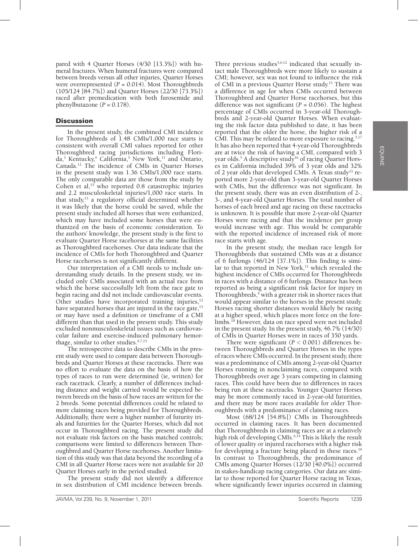pared with 4 Quarter Horses (4/30 [13.3%]) with humeral fractures. When humeral fractures were compared between breeds versus all other injuries, Quarter Horses were overrepresented  $(P = 0.014)$ . Most Thoroughbreds (105/124 [84.7%]) and Quarter Horses (22/30 [73.3%]) raced after premedication with both furosemide and phenylbutazone  $(P = 0.178)$ .

# **Discussion**

In the present study, the combined CMI incidence for Thoroughbreds of 1.48 CMIs/1,000 race starts is consistent with overall CMI values reported for other Thoroughbred racing jurisdictions including Florida,<sup>3</sup> Kentucky,<sup>4</sup> California,<sup>5</sup> New York,<sup>11</sup> and Ontario, Canada.12 The incidence of CMIs in Quarter Horses in the present study was 1.36 CMIs/1,000 race starts. The only comparable data are those from the study by Cohen et al, $15$  who reported 0.8 catastrophic injuries and 2.2 musculoskeletal injuries/1,000 race starts. In that study, $15$  a regulatory official determined whether it was likely that the horse could be saved, while the present study included all horses that were euthanized, which may have included some horses that were euthanized on the basis of economic consideration. To the authors' knowledge, the present study is the first to evaluate Quarter Horse racehorses at the same facilities as Thoroughbred racehorses. Our data indicate that the incidence of CMIs for both Thoroughbred and Quarter Horse racehorses is not significantly different.

Our interpretation of a CMI needs to include understanding study details. In the present study, we included only CMIs associated with an actual race from which the horse successfully left from the race gate to begin racing and did not include cardiovascular events. Other studies have incorporated training injuries,<sup>12</sup> have separated horses that are injured in the race gate,<sup>15</sup> or may have used a definition or timeframe of a CMI different than that used in the present study. This study excluded nonmusculoskeletal issues such as cardiovascular failure and exercise-induced pulmonary hemorrhage, similar to other studies.4,7,15

The retrospective data to describe CMIs in the present study were used to compare data between Thoroughbreds and Quarter Horses at these racetracks. There was no effort to evaluate the data on the basis of how the types of races to run were determined (ie, written) for each racetrack. Clearly, a number of differences including distance and weight carried would be expected between breeds on the basis of how races are written for the 2 breeds. Some potential differences could be related to more claiming races being provided for Thoroughbreds. Additionally, there were a higher number of futurity trials and futurities for the Quarter Horses, which did not occur in Thoroughbred racing. The present study did not evaluate risk factors on the basis matched controls; comparisons were limited to differences between Thoroughbred and Quarter Horse racehorses. Another limitation of this study was that data beyond the recording of a CMI in all Quarter Horse races were not available for 20 Quarter Horses early in the period studied.

The present study did not identify a difference in sex distribution of CMI incidence between breeds.

Three previous studies $5,6,12$  indicated that sexually intact male Thoroughbreds were more likely to sustain a CMI; however, sex was not found to influence the risk of CMI in a previous Quarter Horse study.15 There was a difference in age for when CMIs occurred between Thoroughbred and Quarter Horse racehorses, but this difference was not significant (*P* = 0.056). The highest percentage of CMIs occurred in 3-year-old Thoroughbreds and 2-year-old Quarter Horses. When evaluating the risk factor data published to date, it has been reported that the older the horse, the higher risk of a CMI. This may be related to more exposure to racing.<sup>5,17</sup> It has also been reported that 4-year-old Thoroughbreds are at twice the risk of having a CMI, compared with 3 year olds.<sup>5</sup> A descriptive study<sup>16</sup> of racing Quarter Horses in California included 39% of 3 year olds and 32% of 2 year olds that developed CMIs. A Texas study<sup>15</sup> reported more 2-year-old than 3-year-old Quarter Horses with CMIs, but the difference was not significant. In the present study, there was an even distribution of 2-, 3-, and 4-year-old Quarter Horses. The total number of horses of each breed and age racing on these racetracks is unknown. It is possible that more 2-year-old Quarter Horses were racing and that the incidence per group would increase with age. This would be comparable with the reported incidence of increased risk of more race starts with age.

In the present study, the median race length for Thoroughbreds that sustained CMIs was at a distance of 6 furlongs (46/124 [37.1%]). This finding is similar to that reported in New York, $11$  which revealed the highest incidence of CMIs occurred for Thoroughbreds in races with a distance of 6 furlongs. Distance has been reported as being a significant risk factor for injury in Thoroughbreds,<sup>4</sup> with a greater risk in shorter races that would appear similar to the horses in the present study. Horses racing shorter distances would likely be racing at a higher speed, which places more force on the forelimbs.<sup>18</sup> However, data on race speed were not included in the present study. In the present study, 46.7% (14/30) of CMIs in Quarter Horses were in races of 350 yards.

There were significant  $(P < 0.001)$  differences between Thoroughbreds and Quarter Horses in the types of races where CMIs occurred. In the present study, there was a predominance of CMIs among 2-year-old Quarter Horses running in nonclaiming races, compared with Thoroughbreds over age 3 years competing in claiming races. This could have been due to differences in races being run at these racetracks. Younger Quarter Horses may be more commonly raced in 2-year-old futurities, and there may be more races available for older Thoroughbreds with a predominance of claiming races.

Most (68/124 [54.8%]) CMIs in Thoroughbreds occurred in claiming races. It has been documented that Thoroughbreds in claiming races are at a relatively high risk of developing CMIs.<sup>6,14</sup> This is likely the result of lower quality or injured racehorses with a higher risk for developing a fracture being placed in these races.<sup>19</sup> In contrast to Thoroughbreds, the predominance of CMIs among Quarter Horses (12/30 [40.0%]) occurred in stakes-handicap racing categories. Our data are similar to those reported for Quarter Horse racing in Texas, where significantly fewer injuries occurred in claiming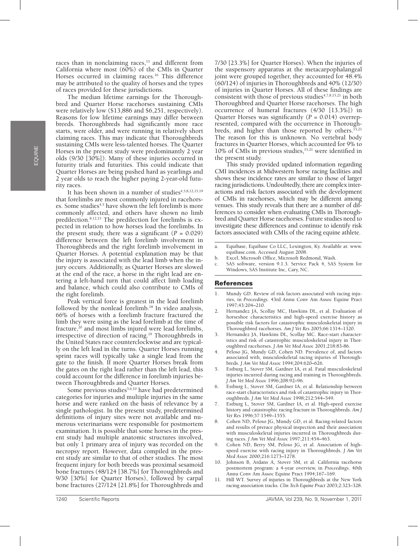races than in nonclaiming races,<sup>15</sup> and different from California where most  $(60\%)$  of the CMIs in Quarter Horses occurred in claiming races.<sup>16</sup> This difference may be attributed to the quality of horses and the types of races provided for these jurisdictions.

The median lifetime earnings for the Thoroughbred and Quarter Horse racehorses sustaining CMIs were relatively low (\$13,886 and \$6,251, respectively). Reasons for low lifetime earnings may differ between breeds. Thoroughbreds had significantly more race starts, were older, and were running in relatively short claiming races. This may indicate that Thoroughbreds sustaining CMIs were less-talented horses. The Quarter Horses in the present study were predominantly 2 year olds (9/30 [30%]). Many of these injuries occurred in futurity trials and futurities. This could indicate that Quarter Horses are being pushed hard as yearlings and 2 year olds to reach the higher paying 2-year-old futurity races.

It has been shown in a number of studies<sup>4,5,8,12,15,19</sup> that forelimbs are most commonly injured in racehorses. Some studies<sup> $4,5$ </sup> have shown the left forelimb is more commonly affected, and others have shown no limb predilection.8,12,15 The predilection for forelimbs is expected in relation to how horses load the forelimbs. In the present study, there was a significant  $(P = 0.029)$ difference between the left forelimb involvement in Thoroughbreds and the right forelimb involvement in Quarter Horses. A potential explanation may be that the injury is associated with the lead limb when the injury occurs. Additionally, as Quarter Horses are slowed at the end of the race, a horse in the right lead are entering a left-hand turn that could affect limb loading and balance, which could also contribute to CMIs of the right forelimb.

Peak vertical force is greatest in the lead forelimb followed by the nonlead forelimb.<sup>18</sup> In video analysis, 66% of horses with a forelimb fracture fractured the limb they were using as the lead forelimb at the time of fracture, $20$  and most limbs injured were lead forelimbs, irrespective of direction of racing.19 Thoroughbreds in the United States race counterclockwise and are typically on the left lead in the turns. Quarter Horses running sprint races will typically take a single lead from the gate to the finish. If more Quarter Horses break from the gates on the right lead rather than the left lead, this could account for the difference in forelimb injuries between Thoroughbreds and Quarter Horses.

Some previous studies<sup>5,6,10</sup> have had predetermined categories for injuries and multiple injuries in the same horse and were ranked on the basis of relevance by a single pathologist. In the present study, predetermined definitions of injury sites were not available and numerous veterinarians were responsible for postmortem examination. It is possible that some horses in the present study had multiple anatomic structures involved, but only 1 primary area of injury was recorded on the necropsy report. However, data compiled in the present study are similar to that of other studies. The most frequent injury for both breeds was proximal sesamoid bone fractures (48/124 [38.7%] for Thoroughbreds and 9/30 [30%] for Quarter Horses), followed by carpal bone fractures (27/124 [21.8%] for Thoroughbreds and

7/30 [23.3%] for Quarter Horses). When the injuries of the suspensory apparatus at the metacarpophalangeal joint were grouped together, they accounted for 48.4%  $(60/124)$  of injuries in Thoroughbreds and  $40\%$   $(12/30)$ of injuries in Quarter Horses. All of these findings are consistent with those of previous studies $4,7,8,15,21$  in both Thoroughbred and Quarter Horse racehorses. The high occurrence of humeral fractures (4/30 [13.3%]) in Quarter Horses was significantly (*P* = 0.014) overrepresented, compared with the occurrence in Thoroughbreds, and higher than those reported by others.<sup>15,21</sup> The reason for this is unknown. No vertebral body fractures in Quarter Horses, which accounted for 9% to 10% of CMIs in previous studies, $15,21$  were identified in the present study.

This study provided updated information regarding CMI incidences at Midwestern horse racing facilities and shows these incidence rates are similar to those of larger racing jurisdictions. Undoubtedly, there are complex interactions and risk factors associated with the development of CMIs in racehorses, which may be different among venues. This study reveals that there are a number of differences to consider when evaluating CMIs in Thoroughbred and Quarter Horse racehorses. Future studies need to investigate these differences and continue to identify risk factors associated with CMIs of the racing equine athlete.

- a. Equibase, Equibase Co LLC, Lexington, Ky. Available at: www. equibase.com. Accessed August 2008.
- b. Excel, Microsoft Office, Microsoft Redmond, Wash.
- SAS software, version 9.1.3. Service Pack 4, SAS System for Windows, SAS Institute Inc, Cary, NC.

#### References

- 1. Mundy GD. Review of risk factors associated with racing injuries, in *Proceedings.* 43rd Annu Conv Am Assoc Equine Pract 1997;43:204**–**210.
- 2. Hernandez JA, Scollay MC, Hawkins DL, et al. Evaluation of horseshoe characteristics and high-speed exercise history as possible risk factors for catastrophic musculoskeletal injury in Thoroughbred racehorses. *Am J Vet Res* 2005;66:1314–1320.
- 3. Hernandez JA, Hawkins DL, Scollay MC. Race-start characteristics and risk of catastrophic musculoskeletal injury in Thoroughbred racehorses. *J Am Vet Med Assoc* 2001;218:83-86.
- Peloso JG, Mundy GD, Cohen ND. Prevalence of, and factors associated with, musculoskeletal racing injuries of Thoroughbreds. *J Am Vet Med Assoc* 1994;204:620**–**626.
- 5. Estburg L, Stover SM, Gardner IA, et al. Fatal musculoskeletal injuries incurred during racing and training in Thoroughbreds. *J Am Vet Med Assoc* 1996;208:92**–**96.
- 6. Estburg L, Stover SM, Gardner IA, et al. Relationship between race-start characteristics and risk of catastrophic injury in Thoroughbreds. *J Am Vet Med Assoc* 1998;212:544**–**549.
- 7. Estburg L, Stover SM, Gardner IA, et al. High-speed exercise history and catastrophic racing fracture in Thoroughbreds. *Am J Vet Res* 1996;57:1549–1555.
- 8. Cohen ND, Peloso JG, Mundy GD, et al. Racing-related factors and results of prerace physical inspection and their association with musculoskeletal injuries incurred in Thoroughbreds during races. *J Am Vet Med Assoc* 1997;211:454**–**463.
- 9. Cohen ND, Berry SM, Peloso JG, et al. Association of highspeed exercise with racing injury in Thoroughbreds. *J Am Vet Med Assoc* 2000;216:1273**–**1278.
- 10. Johnson B, Ardans A, Stover SM, et al. California racehorse postmortem program: a 4-year overview, in *Proceedings.* 40th Annu Conv Am Assoc Equine Pract 1994;167–169.
- 11. Hill WT. Survey of injuries in Thoroughbreds at the New York racing association tracks. *Clin Tech Equine Pract* 2003;2:323–328.